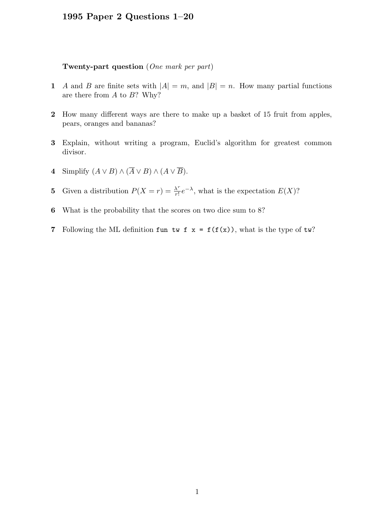## 1995 Paper 2 Questions 1–20

## Twenty-part question (One mark per part)

- 1 A and B are finite sets with  $|A| = m$ , and  $|B| = n$ . How many partial functions are there from  $A$  to  $B$ ? Why?
- 2 How many different ways are there to make up a basket of 15 fruit from apples, pears, oranges and bananas?
- 3 Explain, without writing a program, Euclid's algorithm for greatest common divisor.
- 4 Simplify  $(A \lor B) \land (\overline{A} \lor B) \land (A \lor \overline{B}).$
- **5** Given a distribution  $P(X = r) = \frac{\lambda^r}{r!}$  $\frac{\lambda^r}{r!}e^{-\lambda}$ , what is the expectation  $E(X)$ ?
- 6 What is the probability that the scores on two dice sum to 8?
- 7 Following the ML definition fun tw f  $x = f(f(x))$ , what is the type of tw?